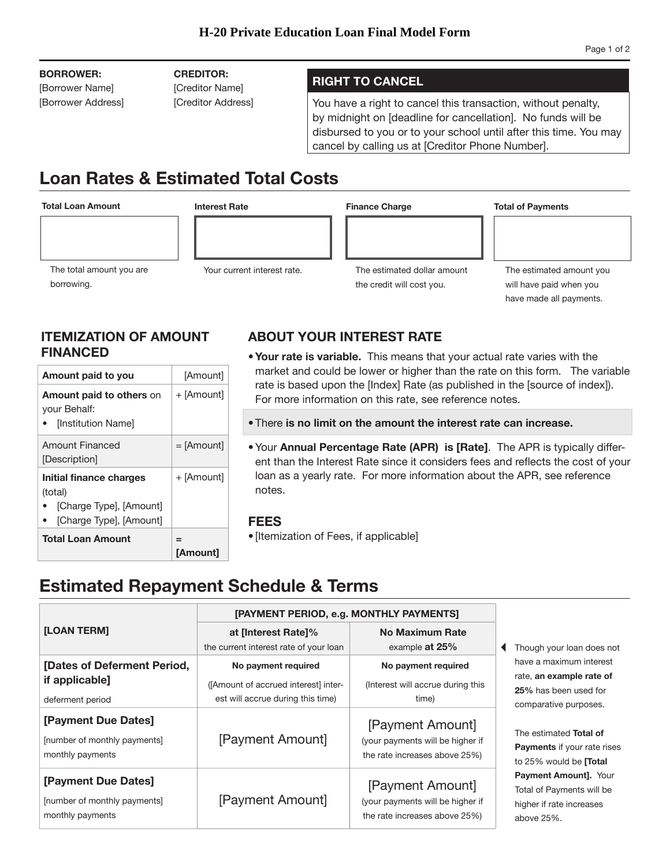## **BORROWER:**

[Borrower Name] [Borrower Address] **CREDITOR:** 

[Creditor Name]

## **RIGHT TO CANCEL**

[Creditor Address] You have a right to cancel this transaction, without penalty, by midnight on [deadline for cancellation]. No funds will be disbursed to you or to your school until after this time. You may cancel by calling us at [Creditor Phone Number].

# **Loan Rates & Estimated Total Costs**

### **Total Loan Amount**

borrowing.

The total amount you are

**Interest Rate** 

**Finance Charge** 

**Total of Payments** 



Your current interest rate.

The estimated amount you will have paid when you have made all payments.

# **ITEMIZATION OF AMOUNT FINANCED**

| Amount paid to you                                                                       | [Amount]             |
|------------------------------------------------------------------------------------------|----------------------|
| <b>Amount paid to others on</b><br>your Behalf:<br>[Institution Name]                    | + [Amount]           |
| Amount Financed<br>[Description]                                                         | $=$ [Amount]         |
| Initial finance charges<br>(total)<br>[Charge Type], [Amount]<br>[Charge Type], [Amount] | + [Amount]           |
| <b>Total Loan Amount</b>                                                                 | =<br><b>[Amount]</b> |

# **ABOUT YOUR INTEREST RATE**

- **Your rate is variable.** This means that your actual rate varies with the market and could be lower or higher than the rate on this form. The variable rate is based upon the [Index] Rate (as published in the [source of index]). For more information on this rate, see reference notes.
- There is no limit on the amount the interest rate can increase.
- ent than the Interest Rate since it considers fees and reflects the cost of your • Your **Annual Percentage Rate (APR) is [Rate]**. The APR is typically differloan as a yearly rate. For more information about the APR, see reference notes.

## **FEES**

• [Itemization of Fees, if applicable]

# **Estimated Repayment Schedule & Terms**

|                                                                         | [PAYMENT PERIOD, e.g. MONTHLY PAYMENTS]                                                          |                                                                                       |                                                                                                       |
|-------------------------------------------------------------------------|--------------------------------------------------------------------------------------------------|---------------------------------------------------------------------------------------|-------------------------------------------------------------------------------------------------------|
| <b>[LOAN TERM]</b>                                                      | at linterest Ratel%<br>the current interest rate of your loan                                    | No Maximum Rate<br>example at 25%                                                     | Though your loan does not                                                                             |
| [Dates of Deferment Period,<br>if applicable]<br>deferment period       | No payment required<br>([Amount of accrued interest] inter-<br>est will accrue during this time) | No payment required<br>(Interest will accrue during this<br>time)                     | have a maximum interest<br>rate, an example rate of<br>25% has been used for<br>comparative purposes. |
| [Payment Due Dates]<br>[number of monthly payments]<br>monthly payments | [Payment Amount]                                                                                 | [Payment Amount]<br>(your payments will be higher if<br>the rate increases above 25%) | The estimated Total of<br>Payments if your rate rises<br>to 25% would be <b>[Total</b>                |
| [Payment Due Dates]<br>[number of monthly payments]<br>monthly payments | [Payment Amount]                                                                                 | [Payment Amount]<br>(your payments will be higher if<br>the rate increases above 25%) | <b>Payment Amount]. Your</b><br>Total of Payments will be<br>higher if rate increases<br>above 25%.   |

| The estimated dollar amount |  |
|-----------------------------|--|
| the credit will cost you.   |  |